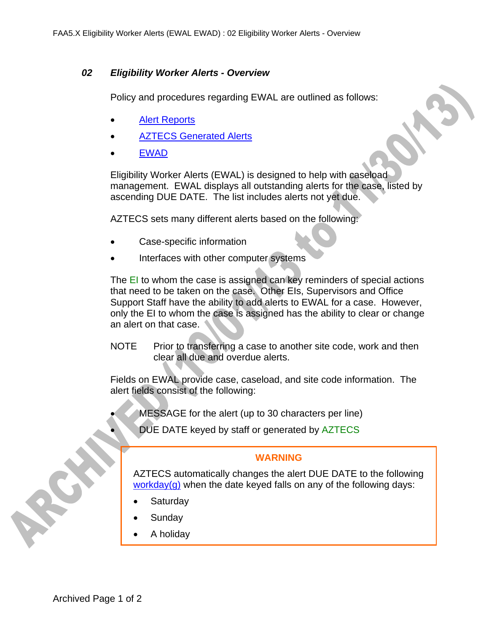## *02 Eligibility Worker Alerts - Overview*

Policy and procedures regarding EWAL are outlined as follows:

- Alert Reports
- AZTECS Generated Alerts
- EWAD

Eligibility Worker Alerts (EWAL) is designed to help with caseload management. EWAL displays all outstanding alerts for the case, listed by ascending DUE DATE. The list includes alerts not yet due.

AZTECS sets many different alerts based on the following:

- Case-specific information
- Interfaces with other computer systems

The EI to whom the case is assigned can key reminders of special actions that need to be taken on the case. Other EIs, Supervisors and Office Support Staff have the ability to add alerts to EWAL for a case. However, only the EI to whom the case is assigned has the ability to clear or change an alert on that case.

NOTE Prior to transferring a case to another site code, work and then clear all due and overdue alerts.

Fields on EWAL provide case, caseload, and site code information. The alert fields consist of the following:

- MESSAGE for the alert (up to 30 characters per line)
- DUE DATE keyed by staff or generated by AZTECS

## **WARNING**

AZTECS automatically changes the alert DUE DATE to the following workday(q) when the date keyed falls on any of the following days:

- **Saturday**
- Sunday
- A holiday